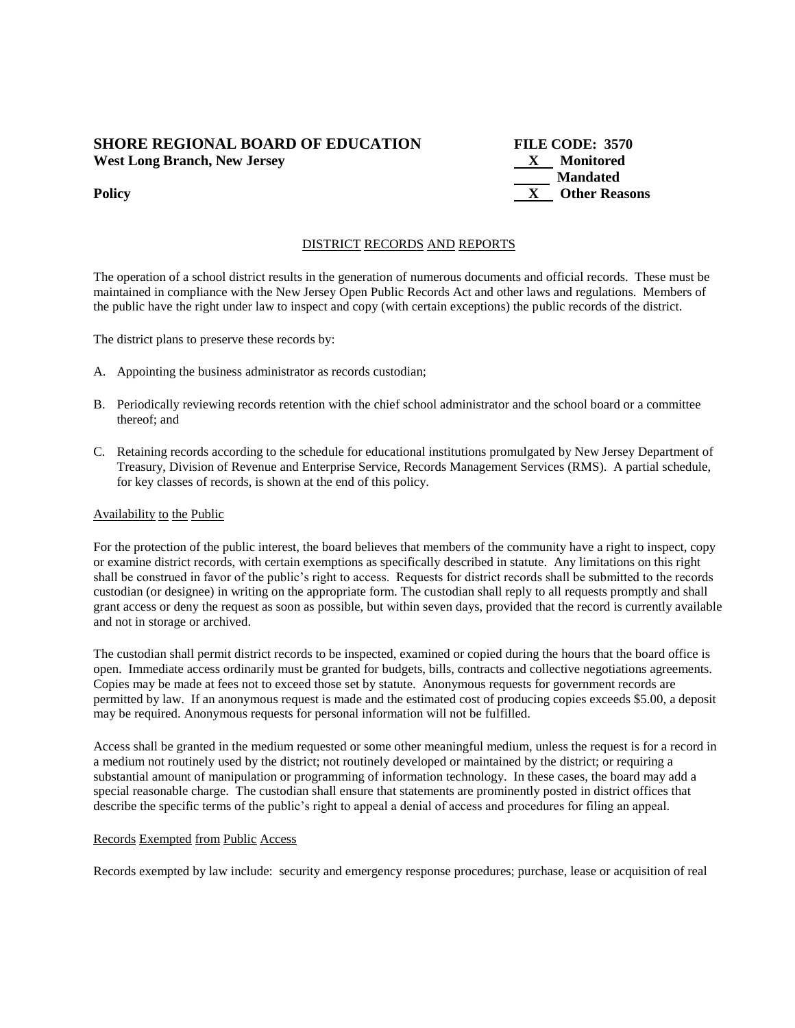## **SHORE REGIONAL BOARD OF EDUCATION FILE CODE: 3570 West Long Branch, New Jersey X Monitored**

 **Mandated Policy X** Other Reasons

# DISTRICT RECORDS AND REPORTS

The operation of a school district results in the generation of numerous documents and official records. These must be maintained in compliance with the New Jersey Open Public Records Act and other laws and regulations. Members of the public have the right under law to inspect and copy (with certain exceptions) the public records of the district.

The district plans to preserve these records by:

- A. Appointing the business administrator as records custodian;
- B. Periodically reviewing records retention with the chief school administrator and the school board or a committee thereof; and
- C. Retaining records according to the schedule for educational institutions promulgated by New Jersey Department of Treasury, Division of Revenue and Enterprise Service, Records Management Services (RMS). A partial schedule, for key classes of records, is shown at the end of this policy.

## Availability to the Public

For the protection of the public interest, the board believes that members of the community have a right to inspect, copy or examine district records, with certain exemptions as specifically described in statute. Any limitations on this right shall be construed in favor of the public's right to access. Requests for district records shall be submitted to the records custodian (or designee) in writing on the appropriate form. The custodian shall reply to all requests promptly and shall grant access or deny the request as soon as possible, but within seven days, provided that the record is currently available and not in storage or archived.

The custodian shall permit district records to be inspected, examined or copied during the hours that the board office is open. Immediate access ordinarily must be granted for budgets, bills, contracts and collective negotiations agreements. Copies may be made at fees not to exceed those set by statute. Anonymous requests for government records are permitted by law. If an anonymous request is made and the estimated cost of producing copies exceeds \$5.00, a deposit may be required. Anonymous requests for personal information will not be fulfilled.

Access shall be granted in the medium requested or some other meaningful medium, unless the request is for a record in a medium not routinely used by the district; not routinely developed or maintained by the district; or requiring a substantial amount of manipulation or programming of information technology. In these cases, the board may add a special reasonable charge. The custodian shall ensure that statements are prominently posted in district offices that describe the specific terms of the public's right to appeal a denial of access and procedures for filing an appeal.

### Records Exempted from Public Access

Records exempted by law include: security and emergency response procedures; purchase, lease or acquisition of real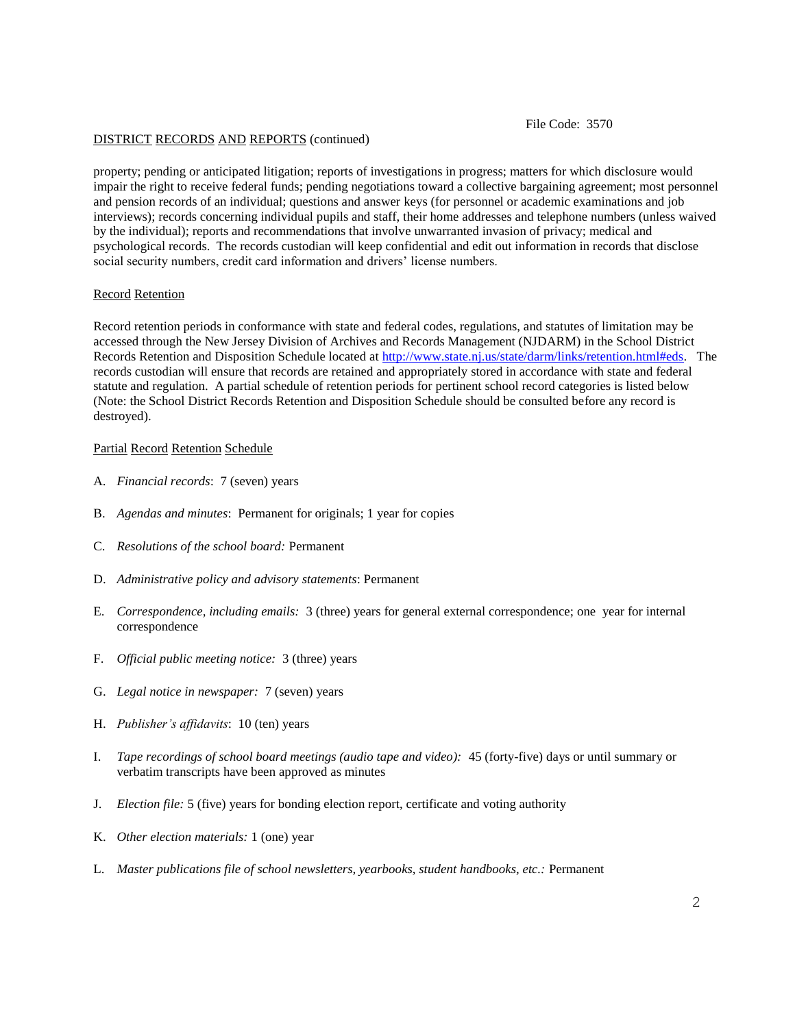#### DISTRICT RECORDS AND REPORTS (continued)

File Code: 3570

property; pending or anticipated litigation; reports of investigations in progress; matters for which disclosure would impair the right to receive federal funds; pending negotiations toward a collective bargaining agreement; most personnel and pension records of an individual; questions and answer keys (for personnel or academic examinations and job interviews); records concerning individual pupils and staff, their home addresses and telephone numbers (unless waived by the individual); reports and recommendations that involve unwarranted invasion of privacy; medical and psychological records. The records custodian will keep confidential and edit out information in records that disclose social security numbers, credit card information and drivers' license numbers.

### Record Retention

Record retention periods in conformance with state and federal codes, regulations, and statutes of limitation may be accessed through the New Jersey Division of Archives and Records Management (NJDARM) in the School District Records Retention and Disposition Schedule located at [http://www.state.nj.us/state/darm/links/retention.html#eds.](http://www.state.nj.us/state/darm/links/retention.html#eds) The records custodian will ensure that records are retained and appropriately stored in accordance with state and federal statute and regulation. A partial schedule of retention periods for pertinent school record categories is listed below (Note: the School District Records Retention and Disposition Schedule should be consulted before any record is destroyed).

### Partial Record Retention Schedule

- A. *Financial records*: 7 (seven) years
- B. *Agendas and minutes*: Permanent for originals; 1 year for copies
- C. *Resolutions of the school board:* Permanent
- D. *Administrative policy and advisory statements*: Permanent
- E. *Correspondence, including emails:* 3 (three) years for general external correspondence; one year for internal correspondence
- F. *Official public meeting notice:* 3 (three) years
- G. *Legal notice in newspaper:* 7 (seven) years
- H. *Publisher's affidavits*: 10 (ten) years
- I. *Tape recordings of school board meetings (audio tape and video):* 45 (forty-five) days or until summary or verbatim transcripts have been approved as minutes
- J. *Election file:* 5 (five) years for bonding election report, certificate and voting authority
- K. *Other election materials:* 1 (one) year
- L. *Master publications file of school newsletters, yearbooks, student handbooks, etc.:* Permanent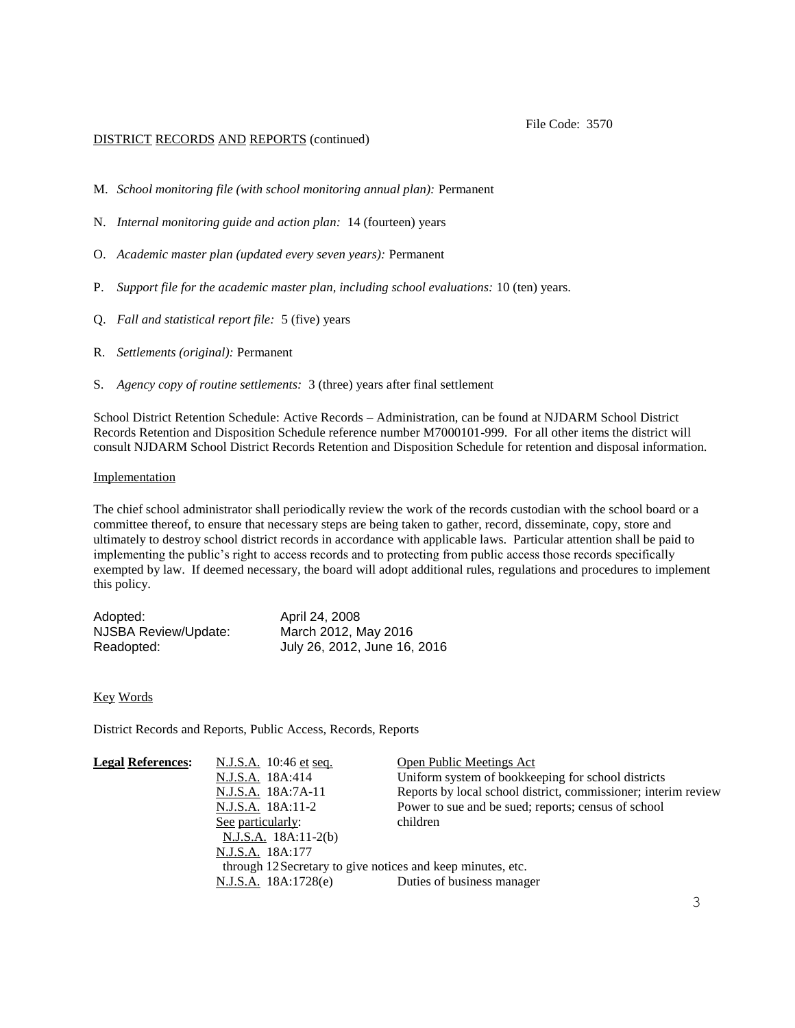## DISTRICT RECORDS AND REPORTS (continued)

- M. *School monitoring file (with school monitoring annual plan):* Permanent
- N. *Internal monitoring guide and action plan:* 14 (fourteen) years
- O. *Academic master plan (updated every seven years):* Permanent
- P. *Support file for the academic master plan, including school evaluations:* 10 (ten) years.
- Q. *Fall and statistical report file:* 5 (five) years
- R. *Settlements (original):* Permanent
- S. *Agency copy of routine settlements:* 3 (three) years after final settlement

School District Retention Schedule: Active Records – Administration, can be found at NJDARM School District Records Retention and Disposition Schedule reference number M7000101-999. For all other items the district will consult NJDARM School District Records Retention and Disposition Schedule for retention and disposal information.

#### Implementation

The chief school administrator shall periodically review the work of the records custodian with the school board or a committee thereof, to ensure that necessary steps are being taken to gather, record, disseminate, copy, store and ultimately to destroy school district records in accordance with applicable laws. Particular attention shall be paid to implementing the public's right to access records and to protecting from public access those records specifically exempted by law. If deemed necessary, the board will adopt additional rules, regulations and procedures to implement this policy.

| Adopted:             | April 24, 2008               |
|----------------------|------------------------------|
| NJSBA Review/Update: | March 2012, May 2016         |
| Readopted:           | July 26, 2012, June 16, 2016 |

### Key Words

District Records and Reports, Public Access, Records, Reports

| <b>Legal References:</b> | N.J.S.A. 10:46 et seq.                                      | <b>Open Public Meetings Act</b>                                |
|--------------------------|-------------------------------------------------------------|----------------------------------------------------------------|
|                          | N.J.S.A. 18A:414                                            | Uniform system of bookkeeping for school districts             |
|                          | N.J.S.A. 18A:7A-11                                          | Reports by local school district, commissioner; interim review |
|                          | N.J.S.A. 18A:11-2                                           | Power to sue and be sued; reports; census of school            |
|                          | See particularly:                                           | children                                                       |
|                          | $N.J.S.A.$ 18A:11-2(b)                                      |                                                                |
|                          | N.J.S.A. 18A:177                                            |                                                                |
|                          | through 12 Secretary to give notices and keep minutes, etc. |                                                                |
|                          | N.J.S.A. 18A:1728(e)                                        | Duties of business manager                                     |
|                          |                                                             |                                                                |